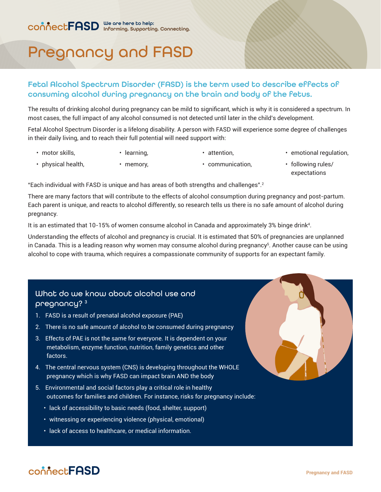# Pregnancy and FASD

### Fetal Alcohol Spectrum Disorder (FASD) is the term used to describe effects of consuming alcohol during pregnancy on the brain and body of the fetus.

The results of drinking alcohol during pregnancy can be mild to significant, which is why it is considered a spectrum. In most cases, the full impact of any alcohol consumed is not detected until later in the child's development.

Fetal Alcohol Spectrum Disorder is a lifelong disability. A person with FASD will experience some degree of challenges in their daily living, and to reach their full potential will need support with:

- motor skills,
- learning,
- attention,
- emotional regulation,

- physical health,
- memory,
- communication,
- following rules/ expectations

"Each individual with FASD is unique and has areas of both strengths and challenges".<sup>2</sup>

There are many factors that will contribute to the effects of alcohol consumption during pregnancy and post-partum. Each parent is unique, and reacts to alcohol differently, so research tells us there is no safe amount of alcohol during pregnancy.

It is an estimated that 10-15% of women consume alcohol in Canada and approximately 3% binge drink<sup>4</sup> .

Understanding the effects of alcohol and pregnancy is crucial. It is estimated that 50% of pregnancies are unplanned in Canada. This is a leading reason why women may consume alcohol during pregnancy<sup>s</sup>. Another cause can be using alcohol to cope with trauma, which requires a compassionate community of supports for an expectant family.

## What do we know about alcohol use and pregnancy?<sup>3</sup>

- 1. FASD is a result of prenatal alcohol exposure (PAE)
- 2. There is no safe amount of alcohol to be consumed during pregnancy
- 3. Effects of PAE is not the same for everyone. It is dependent on your metabolism, enzyme function, nutrition, family genetics and other factors.
- 4. The central nervous system (CNS) is developing throughout the WHOLE pregnancy which is why FASD can impact brain AND the body
- 5. Environmental and social factors play a critical role in healthy outcomes for families and children. For instance, risks for pregnancy include:
	- lack of accessibility to basic needs (food, shelter, support)
	- witnessing or experiencing violence (physical, emotional)
	- lack of access to healthcare, or medical information.

# connect**FASD**